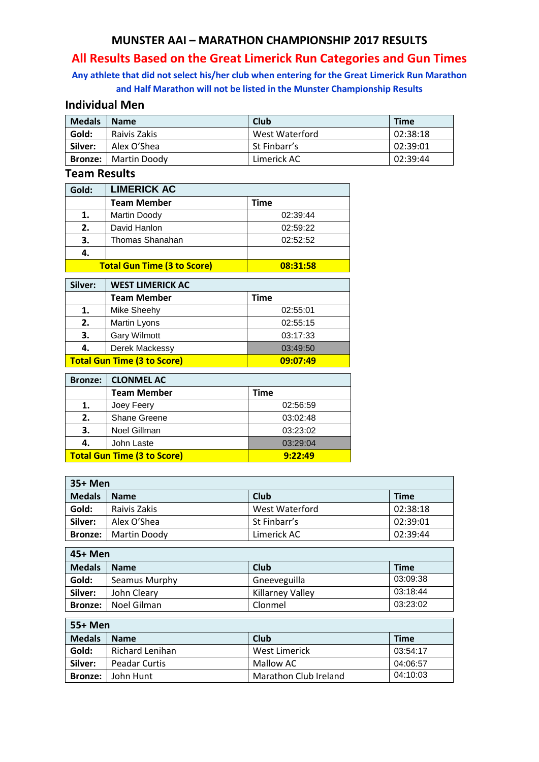## **MUNSTER AAI – MARATHON CHAMPIONSHIP 2017 RESULTS**

# **All Results Based on the Great Limerick Run Categories and Gun Times**

# **Any athlete that did not select his/her club when entering for the Great Limerick Run Marathon and Half Marathon will not be listed in the Munster Championship Results**

### **Individual Men**

| <b>Medals</b>  | <b>Name</b>  | Club           | <b>Time</b> |
|----------------|--------------|----------------|-------------|
| Gold:          | Raivis Zakis | West Waterford | 02:38:18    |
| Silver:        | Alex O'Shea  | St Finbarr's   | 02:39:01    |
| <b>Bronze:</b> | Martin Doody | Limerick AC    | 02:39:44    |

#### **Team Results**

| Gold: | <b>LIMERICK AC</b>                 |          |
|-------|------------------------------------|----------|
|       | <b>Team Member</b>                 | Time     |
|       | <b>Martin Doody</b>                | 02:39:44 |
| 2.    | David Hanlon                       | 02:59:22 |
| 3.    | Thomas Shanahan                    | 02:52:52 |
|       |                                    |          |
|       | <b>Total Gun Time (3 to Score)</b> | 08:31:58 |

| Silver:                                        | <b>WEST LIMERICK AC</b> |          |
|------------------------------------------------|-------------------------|----------|
|                                                | <b>Team Member</b>      | Time     |
| 1.                                             | Mike Sheehy             | 02:55:01 |
| 2.                                             | Martin Lyons            | 02:55:15 |
| 3.                                             | <b>Gary Wilmott</b>     | 03:17:33 |
| 4.                                             | Derek Mackessy          | 03:49:50 |
| <b>Total Gun Time (3 to Score)</b><br>09:07:49 |                         |          |

| <b>Bronze:</b>                                | <b>CLONMEL AC</b>  |          |
|-----------------------------------------------|--------------------|----------|
|                                               | <b>Team Member</b> | Time     |
| 1.                                            | Joey Feery         | 02:56:59 |
| 2.                                            | Shane Greene       | 03:02:48 |
| 3.                                            | Noel Gillman       | 03:23:02 |
| 4.                                            | John Laste         | 03:29:04 |
| <b>Total Gun Time (3 to Score)</b><br>9:22:49 |                    |          |

| 35+ Men        |              |                |             |
|----------------|--------------|----------------|-------------|
| <b>Medals</b>  | <b>Name</b>  | Club           | <b>Time</b> |
| Gold:          | Raivis Zakis | West Waterford | 02:38:18    |
| Silver:        | Alex O'Shea  | St Finbarr's   | 02:39:01    |
| <b>Bronze:</b> | Martin Doody | Limerick AC    | 02:39:44    |

| 45+ Men        |               |                         |             |
|----------------|---------------|-------------------------|-------------|
| <b>Medals</b>  | <b>Name</b>   | Club                    | <b>Time</b> |
| Gold:          | Seamus Murphy | Gneeveguilla            | 03:09:38    |
| Silver:        | John Cleary   | <b>Killarney Valley</b> | 03:18:44    |
| <b>Bronze:</b> | Noel Gilman   | Clonmel                 | 03:23:02    |

| 55+ Men        |                      |                       |             |
|----------------|----------------------|-----------------------|-------------|
| <b>Medals</b>  | <b>Name</b>          | Club                  | <b>Time</b> |
| Gold:          | Richard Lenihan      | West Limerick         | 03:54:17    |
| Silver:        | <b>Peadar Curtis</b> | Mallow AC             | 04:06:57    |
| <b>Bronze:</b> | John Hunt            | Marathon Club Ireland | 04:10:03    |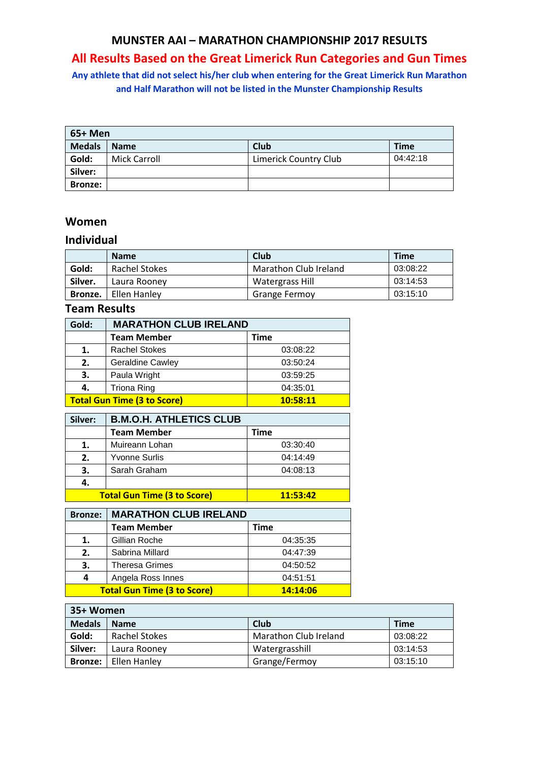### **MUNSTER AAI – MARATHON CHAMPIONSHIP 2017 RESULTS**

# **All Results Based on the Great Limerick Run Categories and Gun Times**

**Any athlete that did not select his/her club when entering for the Great Limerick Run Marathon and Half Marathon will not be listed in the Munster Championship Results**

| 65+ Men        |                     |                       |             |
|----------------|---------------------|-----------------------|-------------|
| <b>Medals</b>  | <b>Name</b>         | <b>Club</b>           | <b>Time</b> |
| Gold:          | <b>Mick Carroll</b> | Limerick Country Club | 04:42:18    |
| Silver:        |                     |                       |             |
| <b>Bronze:</b> |                     |                       |             |

#### **Women**

#### **Individual**

|         | <b>Name</b>   | Club                  | <b>Time</b> |
|---------|---------------|-----------------------|-------------|
| Gold:   | Rachel Stokes | Marathon Club Ireland | 03:08:22    |
| Silver. | Laura Rooney  | Watergrass Hill       | 03:14:53    |
| Bronze. | Ellen Hanley  | <b>Grange Fermoy</b>  | 03:15:10    |

# **Team Results**

| Gold: | <b>MARATHON CLUB IRELAND</b>                   |          |
|-------|------------------------------------------------|----------|
|       | <b>Team Member</b>                             | Time     |
| 1.    | <b>Rachel Stokes</b>                           | 03:08:22 |
| 2.    | <b>Geraldine Cawley</b>                        | 03:50:24 |
| 3.    | Paula Wright                                   | 03:59:25 |
| 4.    | <b>Triona Ring</b>                             | 04:35:01 |
|       | <b>Total Gun Time (3 to Score)</b><br>10:58:11 |          |

| Silver: | <b>B.M.O.H. ATHLETICS CLUB</b>     |          |
|---------|------------------------------------|----------|
|         | <b>Team Member</b>                 | Time     |
| 1.      | Muireann Lohan                     | 03:30:40 |
| 2.      | <b>Yvonne Surlis</b>               | 04:14:49 |
| 3.      | Sarah Graham                       | 04:08:13 |
| 4.      |                                    |          |
|         | <b>Total Gun Time (3 to Score)</b> | 11:53:42 |

| <b>Bronze:</b>                                 | <b>MARATHON CLUB IRELAND</b> |          |
|------------------------------------------------|------------------------------|----------|
|                                                | <b>Team Member</b>           | Time     |
| 1.                                             | Gillian Roche                | 04:35:35 |
| 2.                                             | Sabrina Millard              | 04:47:39 |
| 3.                                             | <b>Theresa Grimes</b>        | 04:50:52 |
| 4                                              | Angela Ross Innes            | 04:51:51 |
| <b>Total Gun Time (3 to Score)</b><br>14:14:06 |                              |          |

| 35+ Women      |               |                       |             |  |  |
|----------------|---------------|-----------------------|-------------|--|--|
| <b>Medals</b>  | <b>Name</b>   | Club                  | <b>Time</b> |  |  |
| Gold:          | Rachel Stokes | Marathon Club Ireland | 03:08:22    |  |  |
| Silver:        | Laura Rooney  | Watergrasshill        | 03:14:53    |  |  |
| <b>Bronze:</b> | Ellen Hanley  | Grange/Fermoy         | 03:15:10    |  |  |